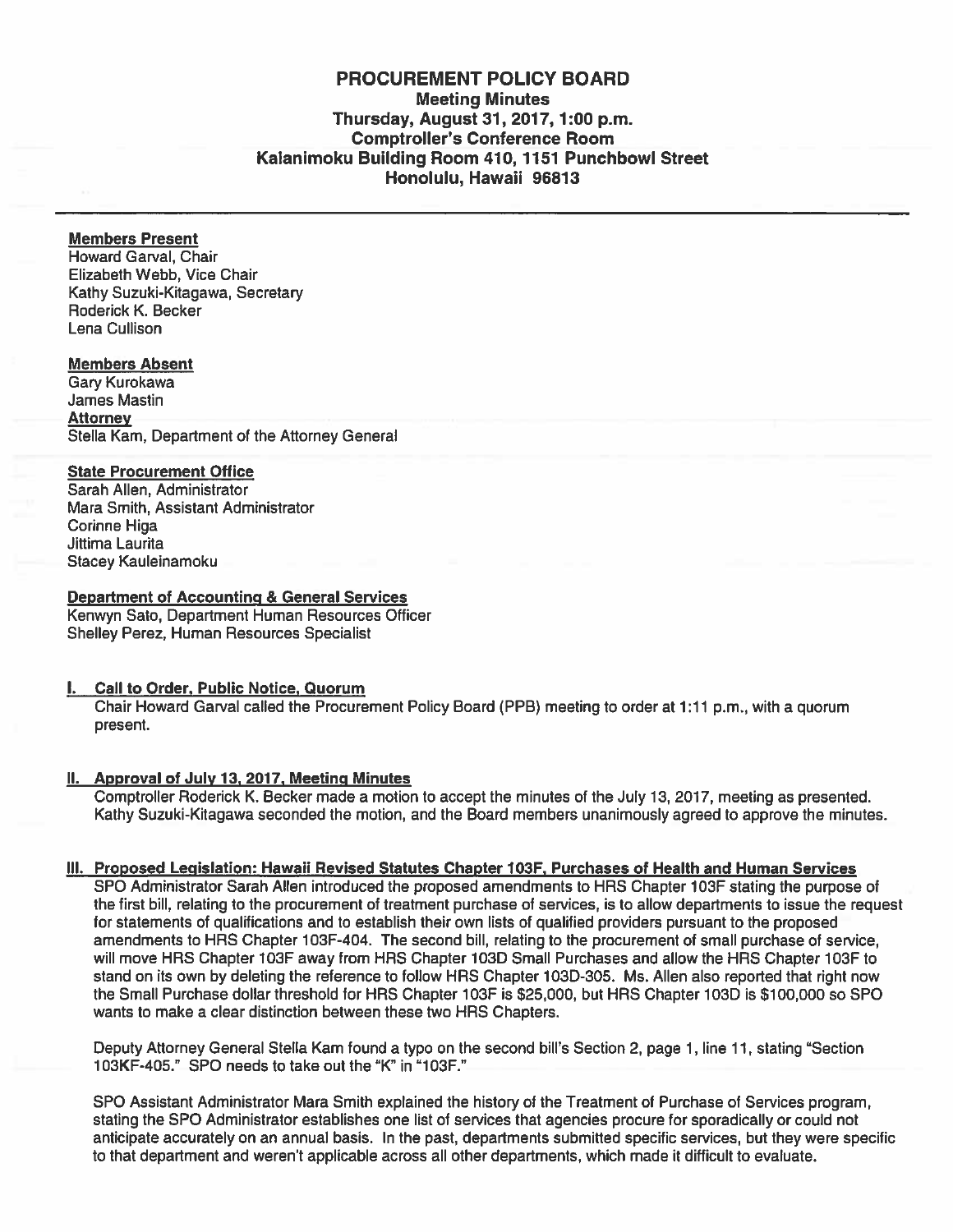# PROCUREMENT POLICY BOARD Meeting Minutes Thursday, August 31, 2017,1:00 p.m. Comptroller's Conference Room Kalanimoku Building Room 410, 1151 Punchbowl Street Honolulu, Hawaii 96813

# Members Present

Howard Garval, Chair Elizabeth Webb, Vice Chair Kathy Suzuki-Kitagawa, Secretary Roderick K. Becker Lena Cullison

#### Members Absent

Gary Kurokawa James Mastin **Attorney** Stella Kam, Department of the Attorney General

#### State Procurement Office

Sarah Allen, Administrator Mara Smith, Assistant Administrator Corinne Higa Jittima Laurita Stacey Kauleinamoku

# Department of Accounting & General Services

Kenwyn Sato, Department Human Resources Officer Shelley Perez, Human Resources Specialist

# I. Call to Order. Public Notice. Quorum

Chair Howard Garval called the Procurement Policy Board (PPB) meeting to order at 1:11 p.m., with <sup>a</sup> quorum present.

# II. Approval of July 13, 2017, Meeting Minutes

Comptroller floderick K. Becker made <sup>a</sup> motion to accep<sup>t</sup> the minutes of the July 13, 2017, meeting as presented. Kathy Suzuki-Kitagawa seconded the motion, and the Board members unanimously agreed to approve the minutes.

# Ill. Proposed Legislation: Hawaii Revised Statutes Chapter 103F, Purchases of Health and Human Services

SPO Administrator Sarah Allen introduced the proposed amendments to HRS Chapter 103F stating the purpose of the first bill, relating to the procuremen<sup>t</sup> of treatment purchase of services, is to allow departments to issue the reques<sup>t</sup> for statements of qualifications and to establish their own lists of qualified providers pursuan<sup>t</sup> to the proposed amendments to HAS Chapter 103F-404. The second bill, relating to the procuremen<sup>t</sup> of small purchase of service, will move HRS Chapter 103F away from HRS Chapter 103D Small Purchases and allow the HRS Chapter 103F to stand on its own by deleting the reference to follow HRS Chapter 103D-305. Ms. Allen also reported that right now the Small Purchase dollar threshold for HRS Chapter 103F is \$25,000, but HRS Chapter 103D is \$100,000 so SPO wants to make <sup>a</sup> clear distinction between these two HRS Chapters.

Deputy Attorney General Stella Kam found <sup>a</sup> typo on the second bill's Section 2, page 1, line 11, stating "Section 1OSKF-405." SPO needs to take out the "K" in "10SF."

SPO Assistant Administrator Mara Smith explained the history of the Treatment of Purchase of Services program, stating the SPO Administrator establishes one list of services that agencies procure for sporadically or could not anticipate accurately on an annual basis. In the past, departments submitted specific services, but they were specific to that department and weren't applicable across all other departments, which made it difficult to evaluate.